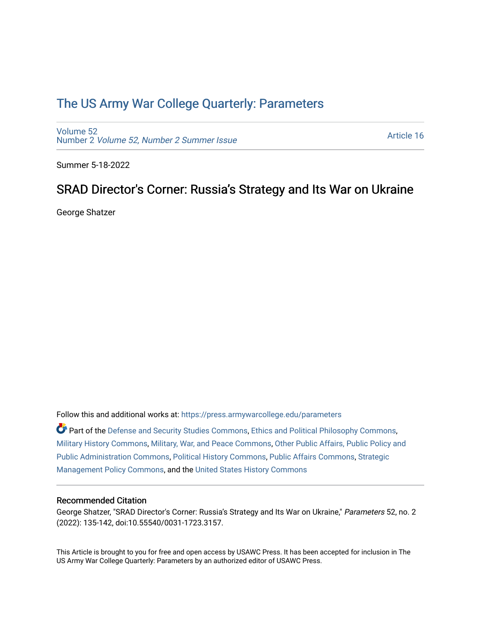# [The US Army War College Quarterly: Parameters](https://press.armywarcollege.edu/parameters)

[Volume 52](https://press.armywarcollege.edu/parameters/vol52) Number 2 [Volume 52, Number 2 Summer Issue](https://press.armywarcollege.edu/parameters/vol52/iss2)

[Article 16](https://press.armywarcollege.edu/parameters/vol52/iss2/16) 

Summer 5-18-2022

# SRAD Director's Corner: Russia's Strategy and Its War on Ukraine

George Shatzer

Follow this and additional works at: [https://press.armywarcollege.edu/parameters](https://press.armywarcollege.edu/parameters?utm_source=press.armywarcollege.edu%2Fparameters%2Fvol52%2Fiss2%2F16&utm_medium=PDF&utm_campaign=PDFCoverPages) 

Part of the [Defense and Security Studies Commons](https://network.bepress.com/hgg/discipline/394?utm_source=press.armywarcollege.edu%2Fparameters%2Fvol52%2Fiss2%2F16&utm_medium=PDF&utm_campaign=PDFCoverPages), [Ethics and Political Philosophy Commons](https://network.bepress.com/hgg/discipline/529?utm_source=press.armywarcollege.edu%2Fparameters%2Fvol52%2Fiss2%2F16&utm_medium=PDF&utm_campaign=PDFCoverPages), [Military History Commons,](https://network.bepress.com/hgg/discipline/504?utm_source=press.armywarcollege.edu%2Fparameters%2Fvol52%2Fiss2%2F16&utm_medium=PDF&utm_campaign=PDFCoverPages) [Military, War, and Peace Commons,](https://network.bepress.com/hgg/discipline/861?utm_source=press.armywarcollege.edu%2Fparameters%2Fvol52%2Fiss2%2F16&utm_medium=PDF&utm_campaign=PDFCoverPages) [Other Public Affairs, Public Policy and](https://network.bepress.com/hgg/discipline/403?utm_source=press.armywarcollege.edu%2Fparameters%2Fvol52%2Fiss2%2F16&utm_medium=PDF&utm_campaign=PDFCoverPages)  [Public Administration Commons,](https://network.bepress.com/hgg/discipline/403?utm_source=press.armywarcollege.edu%2Fparameters%2Fvol52%2Fiss2%2F16&utm_medium=PDF&utm_campaign=PDFCoverPages) [Political History Commons,](https://network.bepress.com/hgg/discipline/505?utm_source=press.armywarcollege.edu%2Fparameters%2Fvol52%2Fiss2%2F16&utm_medium=PDF&utm_campaign=PDFCoverPages) [Public Affairs Commons,](https://network.bepress.com/hgg/discipline/399?utm_source=press.armywarcollege.edu%2Fparameters%2Fvol52%2Fiss2%2F16&utm_medium=PDF&utm_campaign=PDFCoverPages) [Strategic](https://network.bepress.com/hgg/discipline/642?utm_source=press.armywarcollege.edu%2Fparameters%2Fvol52%2Fiss2%2F16&utm_medium=PDF&utm_campaign=PDFCoverPages)  [Management Policy Commons,](https://network.bepress.com/hgg/discipline/642?utm_source=press.armywarcollege.edu%2Fparameters%2Fvol52%2Fiss2%2F16&utm_medium=PDF&utm_campaign=PDFCoverPages) and the [United States History Commons](https://network.bepress.com/hgg/discipline/495?utm_source=press.armywarcollege.edu%2Fparameters%2Fvol52%2Fiss2%2F16&utm_medium=PDF&utm_campaign=PDFCoverPages)

### Recommended Citation

George Shatzer, "SRAD Director's Corner: Russia's Strategy and Its War on Ukraine," Parameters 52, no. 2 (2022): 135-142, doi:10.55540/0031-1723.3157.

This Article is brought to you for free and open access by USAWC Press. It has been accepted for inclusion in The US Army War College Quarterly: Parameters by an authorized editor of USAWC Press.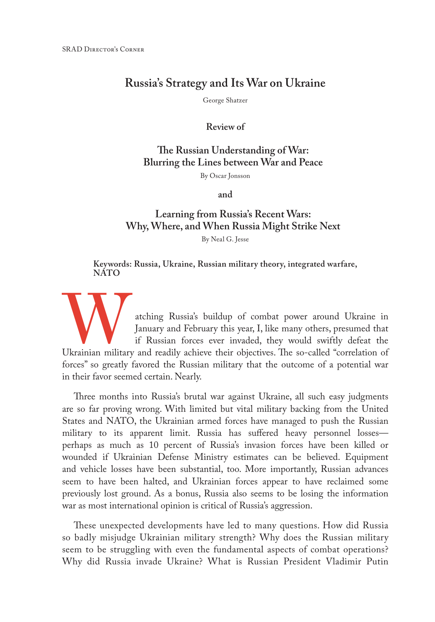## **Russia's Strategy and Its War on Ukraine**

George Shatzer

**Review of**

## **The Russian Understanding of War: Blurring the Lines between War and Peace**

By Oscar Jonsson

**and**

## **Learning from Russia's Recent Wars: Why, Where, and When Russia Might Strike Next**

By Neal G. Jesse

#### **Keywords: Russia, Ukraine, Russian military theory, integrated warfare, NATO**

Aching Russia's buildup of combat power around Ukraine in January and February this year, I, like many others, presumed that if Russian forces ever invaded, they would swiftly defeat the Ukrainian military and readily achi January and February this year, I, like many others, presumed that if Russian forces ever invaded, they would swiftly defeat the forces" so greatly favored the Russian military that the outcome of a potential war in their favor seemed certain. Nearly.

Three months into Russia's brutal war against Ukraine, all such easy judgments are so far proving wrong. With limited but vital military backing from the United States and NATO, the Ukrainian armed forces have managed to push the Russian military to its apparent limit. Russia has suffered heavy personnel losses perhaps as much as 10 percent of Russia's invasion forces have been killed or wounded if Ukrainian Defense Ministry estimates can be believed. Equipment and vehicle losses have been substantial, too. More importantly, Russian advances seem to have been halted, and Ukrainian forces appear to have reclaimed some previously lost ground. As a bonus, Russia also seems to be losing the information war as most international opinion is critical of Russia's aggression.

These unexpected developments have led to many questions. How did Russia so badly misjudge Ukrainian military strength? Why does the Russian military seem to be struggling with even the fundamental aspects of combat operations? Why did Russia invade Ukraine? What is Russian President Vladimir Putin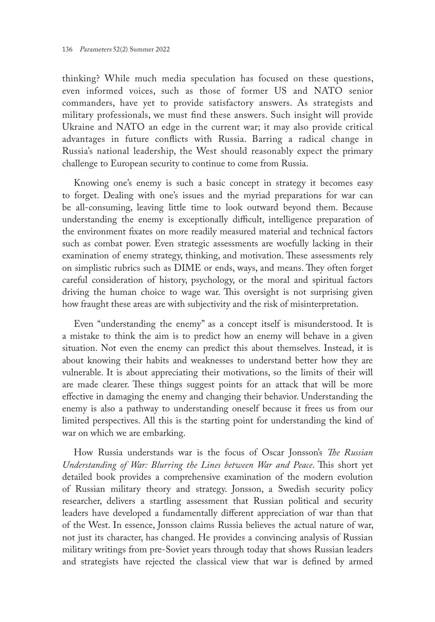thinking? While much media speculation has focused on these questions, even informed voices, such as those of former US and NATO senior commanders, have yet to provide satisfactory answers. As strategists and military professionals, we must find these answers. Such insight will provide Ukraine and NATO an edge in the current war; it may also provide critical advantages in future conflicts with Russia. Barring a radical change in Russia's national leadership, the West should reasonably expect the primary challenge to European security to continue to come from Russia.

Knowing one's enemy is such a basic concept in strategy it becomes easy to forget. Dealing with one's issues and the myriad preparations for war can be all-consuming, leaving little time to look outward beyond them. Because understanding the enemy is exceptionally difficult, intelligence preparation of the environment fixates on more readily measured material and technical factors such as combat power. Even strategic assessments are woefully lacking in their examination of enemy strategy, thinking, and motivation. These assessments rely on simplistic rubrics such as DIME or ends, ways, and means. They often forget careful consideration of history, psychology, or the moral and spiritual factors driving the human choice to wage war. This oversight is not surprising given how fraught these areas are with subjectivity and the risk of misinterpretation.

Even "understanding the enemy" as a concept itself is misunderstood. It is a mistake to think the aim is to predict how an enemy will behave in a given situation. Not even the enemy can predict this about themselves. Instead, it is about knowing their habits and weaknesses to understand better how they are vulnerable. It is about appreciating their motivations, so the limits of their will are made clearer. These things suggest points for an attack that will be more effective in damaging the enemy and changing their behavior. Understanding the enemy is also a pathway to understanding oneself because it frees us from our limited perspectives. All this is the starting point for understanding the kind of war on which we are embarking.

How Russia understands war is the focus of Oscar Jonsson's *The Russian Understanding of War: Blurring the Lines between War and Peace*. This short yet detailed book provides a comprehensive examination of the modern evolution of Russian military theory and strategy. Jonsson, a Swedish security policy researcher, delivers a startling assessment that Russian political and security leaders have developed a fundamentally different appreciation of war than that of the West. In essence, Jonsson claims Russia believes the actual nature of war, not just its character, has changed. He provides a convincing analysis of Russian military writings from pre-Soviet years through today that shows Russian leaders and strategists have rejected the classical view that war is defined by armed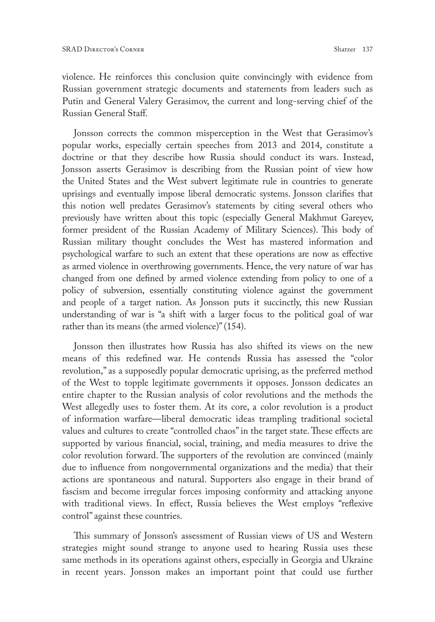violence. He reinforces this conclusion quite convincingly with evidence from Russian government strategic documents and statements from leaders such as Putin and General Valery Gerasimov, the current and long-serving chief of the Russian General Staff.

Jonsson corrects the common misperception in the West that Gerasimov's popular works, especially certain speeches from 2013 and 2014, constitute a doctrine or that they describe how Russia should conduct its wars. Instead, Jonsson asserts Gerasimov is describing from the Russian point of view how the United States and the West subvert legitimate rule in countries to generate uprisings and eventually impose liberal democratic systems. Jonsson clarifies that this notion well predates Gerasimov's statements by citing several others who previously have written about this topic (especially General Makhmut Gareyev, former president of the Russian Academy of Military Sciences). This body of Russian military thought concludes the West has mastered information and psychological warfare to such an extent that these operations are now as effective as armed violence in overthrowing governments. Hence, the very nature of war has changed from one defined by armed violence extending from policy to one of a policy of subversion, essentially constituting violence against the government and people of a target nation. As Jonsson puts it succinctly, this new Russian understanding of war is "a shift with a larger focus to the political goal of war rather than its means (the armed violence)" (154).

Jonsson then illustrates how Russia has also shifted its views on the new means of this redefined war. He contends Russia has assessed the "color revolution," as a supposedly popular democratic uprising, as the preferred method of the West to topple legitimate governments it opposes. Jonsson dedicates an entire chapter to the Russian analysis of color revolutions and the methods the West allegedly uses to foster them. At its core, a color revolution is a product of information warfare—liberal democratic ideas trampling traditional societal values and cultures to create "controlled chaos" in the target state. These effects are supported by various financial, social, training, and media measures to drive the color revolution forward. The supporters of the revolution are convinced (mainly due to influence from nongovernmental organizations and the media) that their actions are spontaneous and natural. Supporters also engage in their brand of fascism and become irregular forces imposing conformity and attacking anyone with traditional views. In effect, Russia believes the West employs "reflexive control" against these countries.

This summary of Jonsson's assessment of Russian views of US and Western strategies might sound strange to anyone used to hearing Russia uses these same methods in its operations against others, especially in Georgia and Ukraine in recent years. Jonsson makes an important point that could use further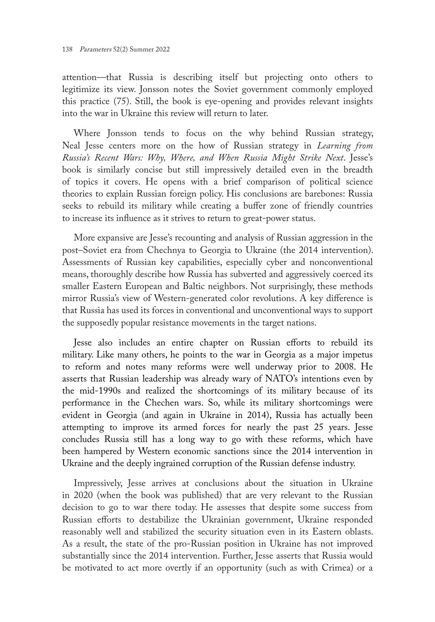attention—that Russia is describing itself but projecting onto others to legitimize its view. Jonsson notes the Soviet government commonly employed this practice (75). Still, the book is eye-opening and provides relevant insights into the war in Ukraine this review will return to later.

Where Jonsson tends to focus on the why behind Russian strategy, Neal Jesse centers more on the how of Russian strategy in *Learning from Russia's Recent Wars: Why, Where, and When Russia Might Strike Next*. Jesse's book is similarly concise but still impressively detailed even in the breadth of topics it covers. He opens with a brief comparison of political science theories to explain Russian foreign policy. His conclusions are barebones: Russia seeks to rebuild its military while creating a buffer zone of friendly countries to increase its influence as it strives to return to great-power status.

More expansive are Jesse's recounting and analysis of Russian aggression in the post–Soviet era from Chechnya to Georgia to Ukraine (the 2014 intervention). Assessments of Russian key capabilities, especially cyber and nonconventional means, thoroughly describe how Russia has subverted and aggressively coerced its smaller Eastern European and Baltic neighbors. Not surprisingly, these methods mirror Russia's view of Western-generated color revolutions. A key difference is that Russia has used its forces in conventional and unconventional ways to support the supposedly popular resistance movements in the target nations.

Jesse also includes an entire chapter on Russian efforts to rebuild its military. Like many others, he points to the war in Georgia as a major impetus to reform and notes many reforms were well underway prior to 2008. He asserts that Russian leadership was already wary of NATO's intentions even by the mid-1990s and realized the shortcomings of its military because of its performance in the Chechen wars. So, while its military shortcomings were evident in Georgia (and again in Ukraine in 2014), Russia has actually been attempting to improve its armed forces for nearly the past 25 years. Jesse concludes Russia still has a long way to go with these reforms, which have been hampered by Western economic sanctions since the 2014 intervention in Ukraine and the deeply ingrained corruption of the Russian defense industry.

Impressively, Jesse arrives at conclusions about the situation in Ukraine in 2020 (when the book was published) that are very relevant to the Russian decision to go to war there today. He assesses that despite some success from Russian efforts to destabilize the Ukrainian government, Ukraine responded reasonably well and stabilized the security situation even in its Eastern oblasts. As a result, the state of the pro-Russian position in Ukraine has not improved substantially since the 2014 intervention. Further, Jesse asserts that Russia would be motivated to act more overtly if an opportunity (such as with Crimea) or a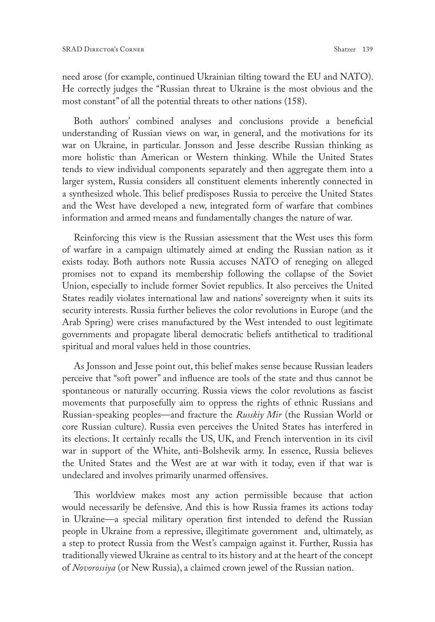need arose (for example, continued Ukrainian tilting toward the EU and NATO). He correctly judges the "Russian threat to Ukraine is the most obvious and the most constant" of all the potential threats to other nations (158).

Both authors' combined analyses and conclusions provide a beneficial understanding of Russian views on war, in general, and the motivations for its war on Ukraine, in particular. Jonsson and Jesse describe Russian thinking as more holistic than American or Western thinking. While the United States tends to view individual components separately and then aggregate them into a larger system, Russia considers all constituent elements inherently connected in a synthesized whole. This belief predisposes Russia to perceive the United States and the West have developed a new, integrated form of warfare that combines information and armed means and fundamentally changes the nature of war.

Reinforcing this view is the Russian assessment that the West uses this form of warfare in a campaign ultimately aimed at ending the Russian nation as it exists today. Both authors note Russia accuses NATO of reneging on alleged promises not to expand its membership following the collapse of the Soviet Union, especially to include former Soviet republics. It also perceives the United States readily violates international law and nations' sovereignty when it suits its security interests. Russia further believes the color revolutions in Europe (and the Arab Spring) were crises manufactured by the West intended to oust legitimate governments and propagate liberal democratic beliefs antithetical to traditional spiritual and moral values held in those countries.

As Jonsson and Jesse point out, this belief makes sense because Russian leaders perceive that "soft power" and influence are tools of the state and thus cannot be spontaneous or naturally occurring. Russia views the color revolutions as fascist movements that purposefully aim to oppress the rights of ethnic Russians and Russian-speaking peoples—and fracture the *Russkiy Mir* (the Russian World or core Russian culture). Russia even perceives the United States has interfered in its elections. It certainly recalls the US, UK, and French intervention in its civil war in support of the White, anti-Bolshevik army. In essence, Russia believes the United States and the West are at war with it today, even if that war is undeclared and involves primarily unarmed offensives.

This worldview makes most any action permissible because that action would necessarily be defensive. And this is how Russia frames its actions today in Ukraine—a special military operation first intended to defend the Russian people in Ukraine from a repressive, illegitimate government and, ultimately, as a step to protect Russia from the West's campaign against it. Further, Russia has traditionally viewed Ukraine as central to its history and at the heart of the concept of *Novorossiya* (or New Russia), a claimed crown jewel of the Russian nation.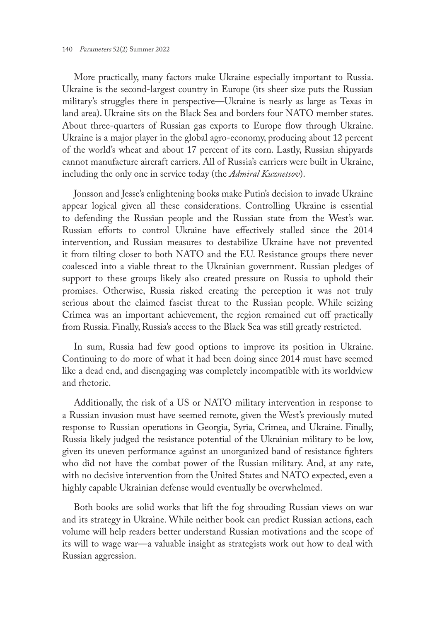More practically, many factors make Ukraine especially important to Russia. Ukraine is the second-largest country in Europe (its sheer size puts the Russian military's struggles there in perspective—Ukraine is nearly as large as Texas in land area). Ukraine sits on the Black Sea and borders four NATO member states. About three-quarters of Russian gas exports to Europe flow through Ukraine. Ukraine is a major player in the global agro-economy, producing about 12 percent of the world's wheat and about 17 percent of its corn. Lastly, Russian shipyards cannot manufacture aircraft carriers. All of Russia's carriers were built in Ukraine, including the only one in service today (the *Admiral Kuznetsov*).

Jonsson and Jesse's enlightening books make Putin's decision to invade Ukraine appear logical given all these considerations. Controlling Ukraine is essential to defending the Russian people and the Russian state from the West's war. Russian efforts to control Ukraine have effectively stalled since the 2014 intervention, and Russian measures to destabilize Ukraine have not prevented it from tilting closer to both NATO and the EU. Resistance groups there never coalesced into a viable threat to the Ukrainian government. Russian pledges of support to these groups likely also created pressure on Russia to uphold their promises. Otherwise, Russia risked creating the perception it was not truly serious about the claimed fascist threat to the Russian people. While seizing Crimea was an important achievement, the region remained cut off practically from Russia. Finally, Russia's access to the Black Sea was still greatly restricted.

In sum, Russia had few good options to improve its position in Ukraine. Continuing to do more of what it had been doing since 2014 must have seemed like a dead end, and disengaging was completely incompatible with its worldview and rhetoric.

Additionally, the risk of a US or NATO military intervention in response to a Russian invasion must have seemed remote, given the West's previously muted response to Russian operations in Georgia, Syria, Crimea, and Ukraine. Finally, Russia likely judged the resistance potential of the Ukrainian military to be low, given its uneven performance against an unorganized band of resistance fighters who did not have the combat power of the Russian military. And, at any rate, with no decisive intervention from the United States and NATO expected, even a highly capable Ukrainian defense would eventually be overwhelmed.

Both books are solid works that lift the fog shrouding Russian views on war and its strategy in Ukraine. While neither book can predict Russian actions, each volume will help readers better understand Russian motivations and the scope of its will to wage war—a valuable insight as strategists work out how to deal with Russian aggression.